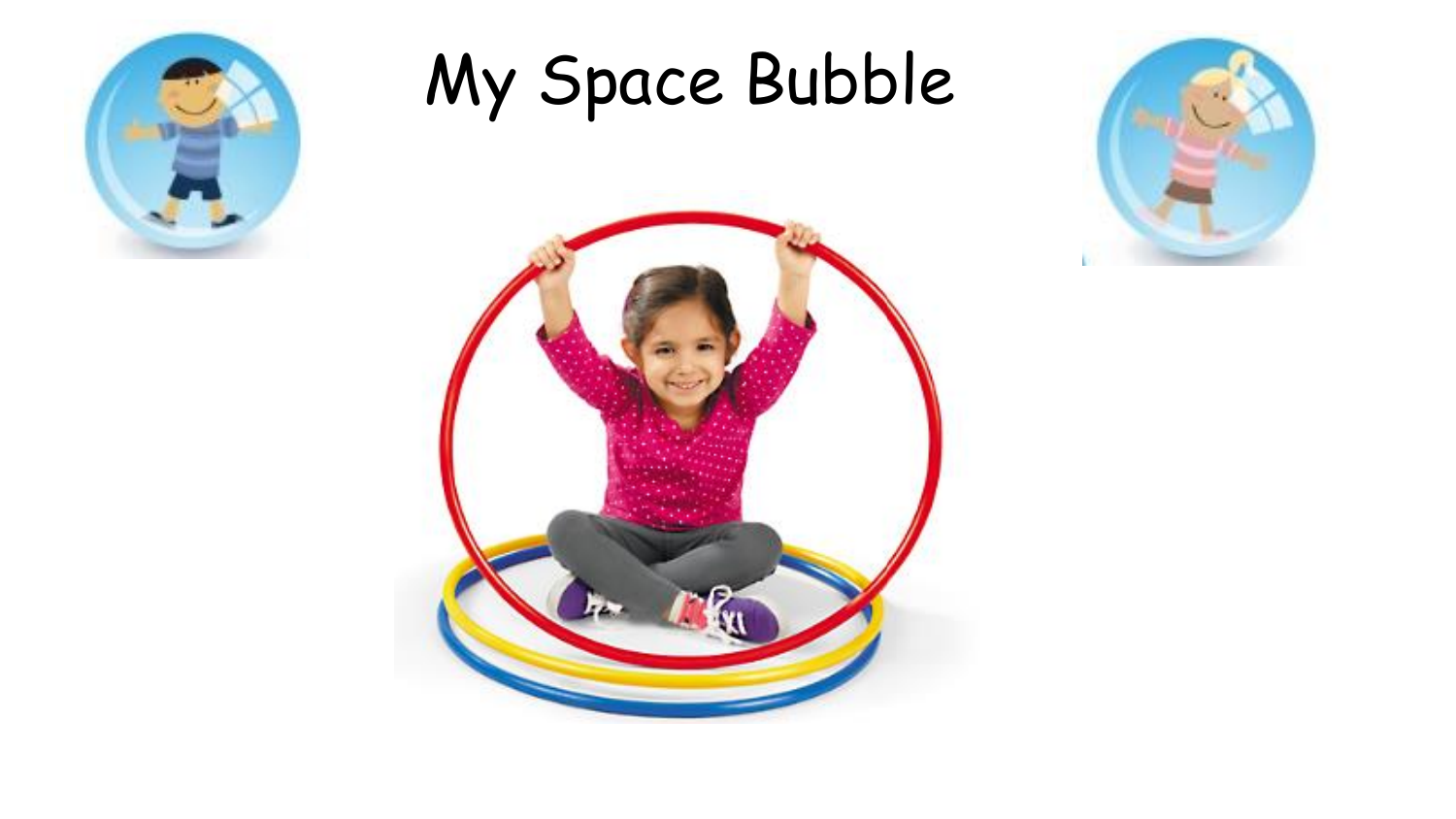

## My Space Bubble



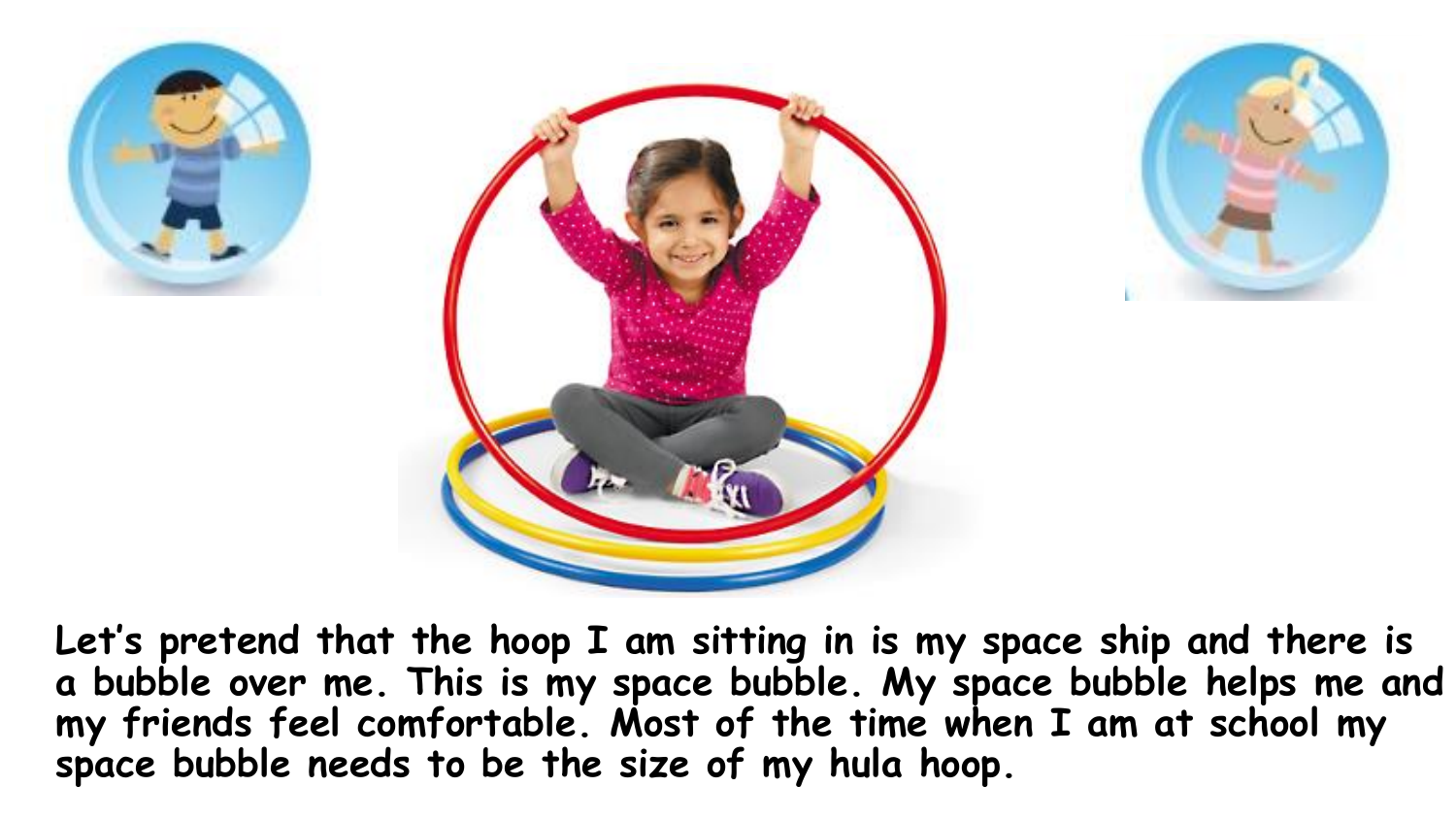





**Let's pretend that the hoop I am sitting in is my space ship and there is a bubble over me. This is my space bubble. My space bubble helps me and my friends feel comfortable. Most of the time when I am at school my space bubble needs to be the size of my hula hoop.**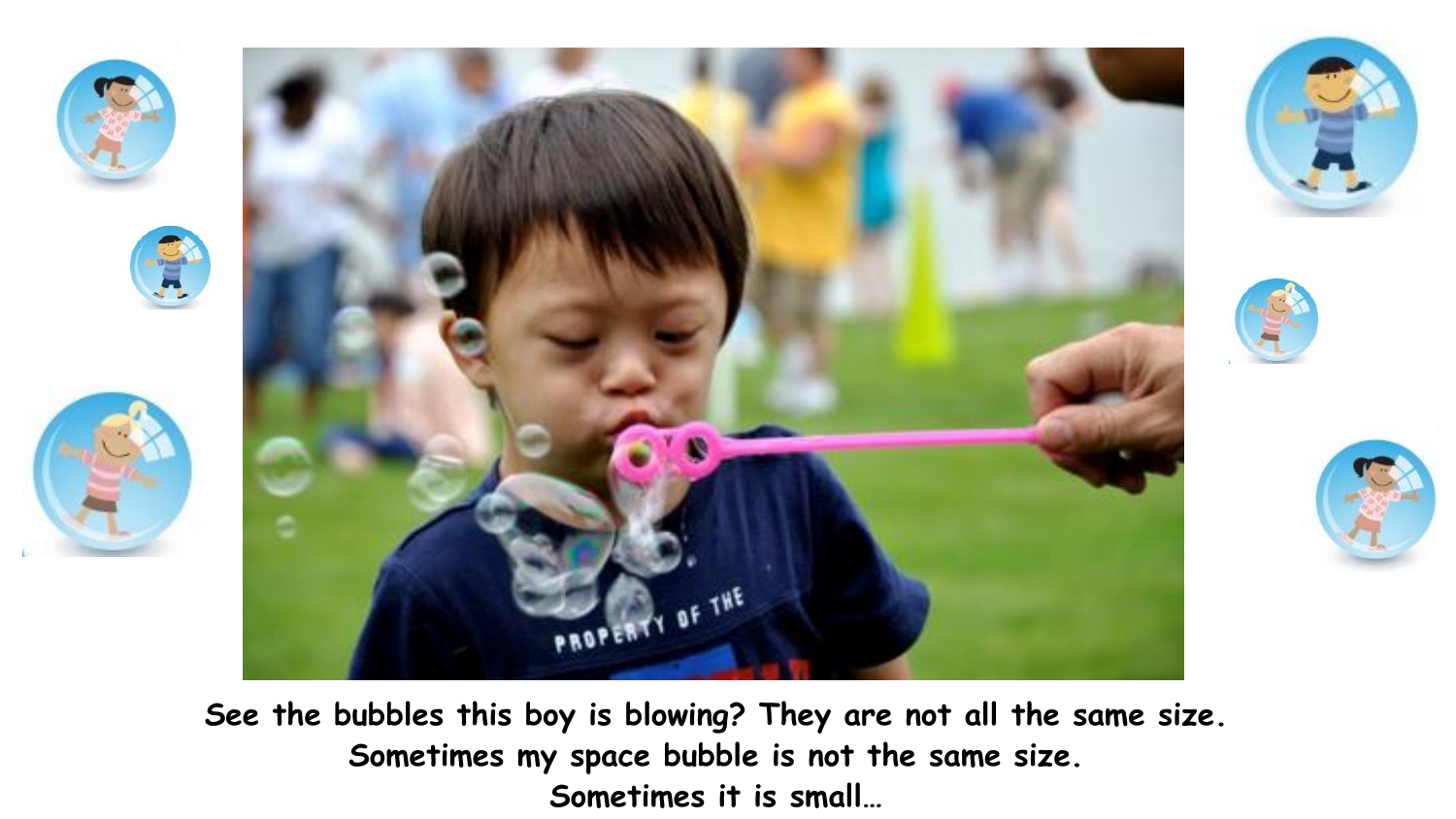







**See the bubbles this boy is blowing? They are not all the same size. Sometimes my space bubble is not the same size. Sometimes it is small…**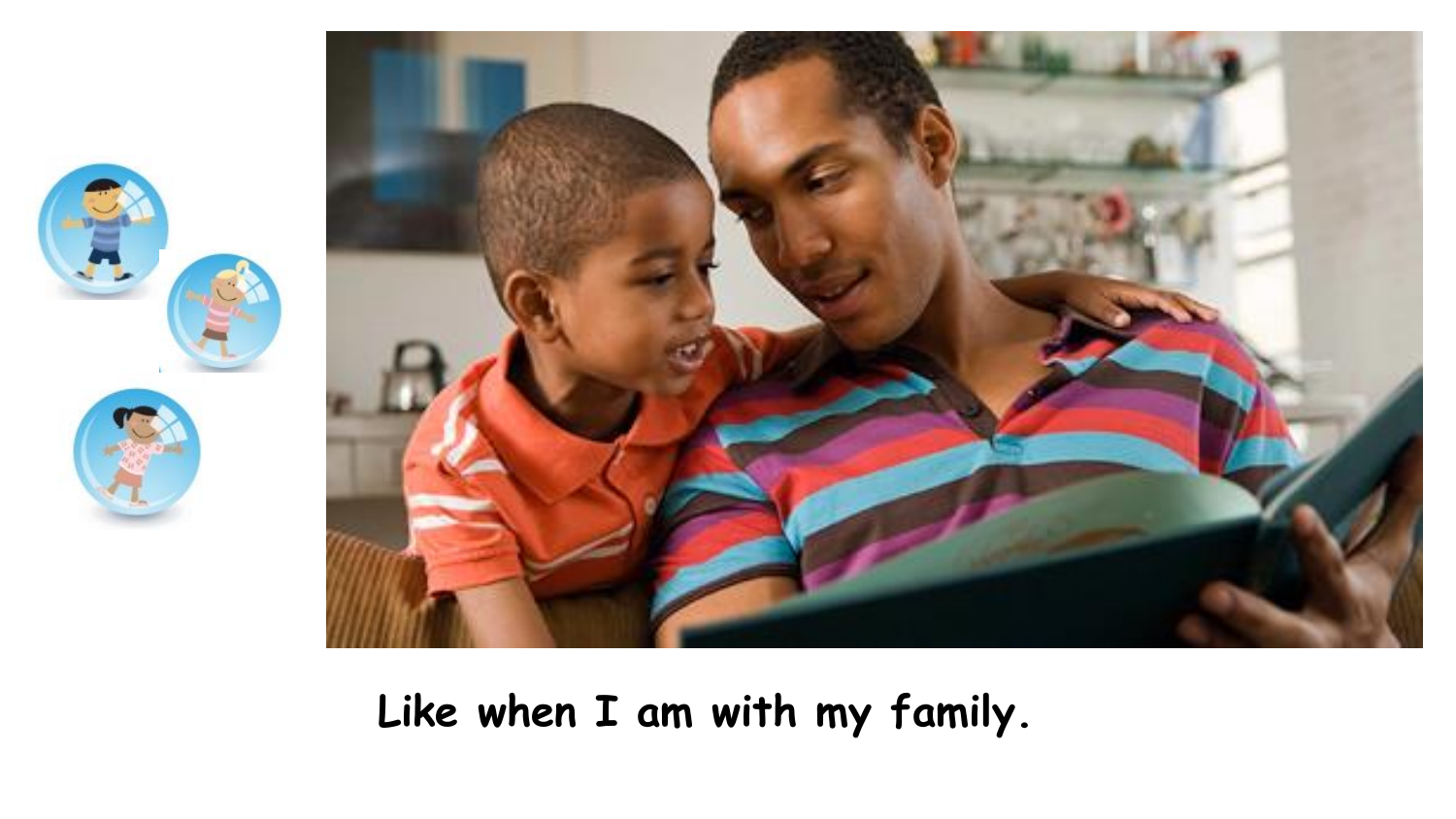



**Like when I am with my family.**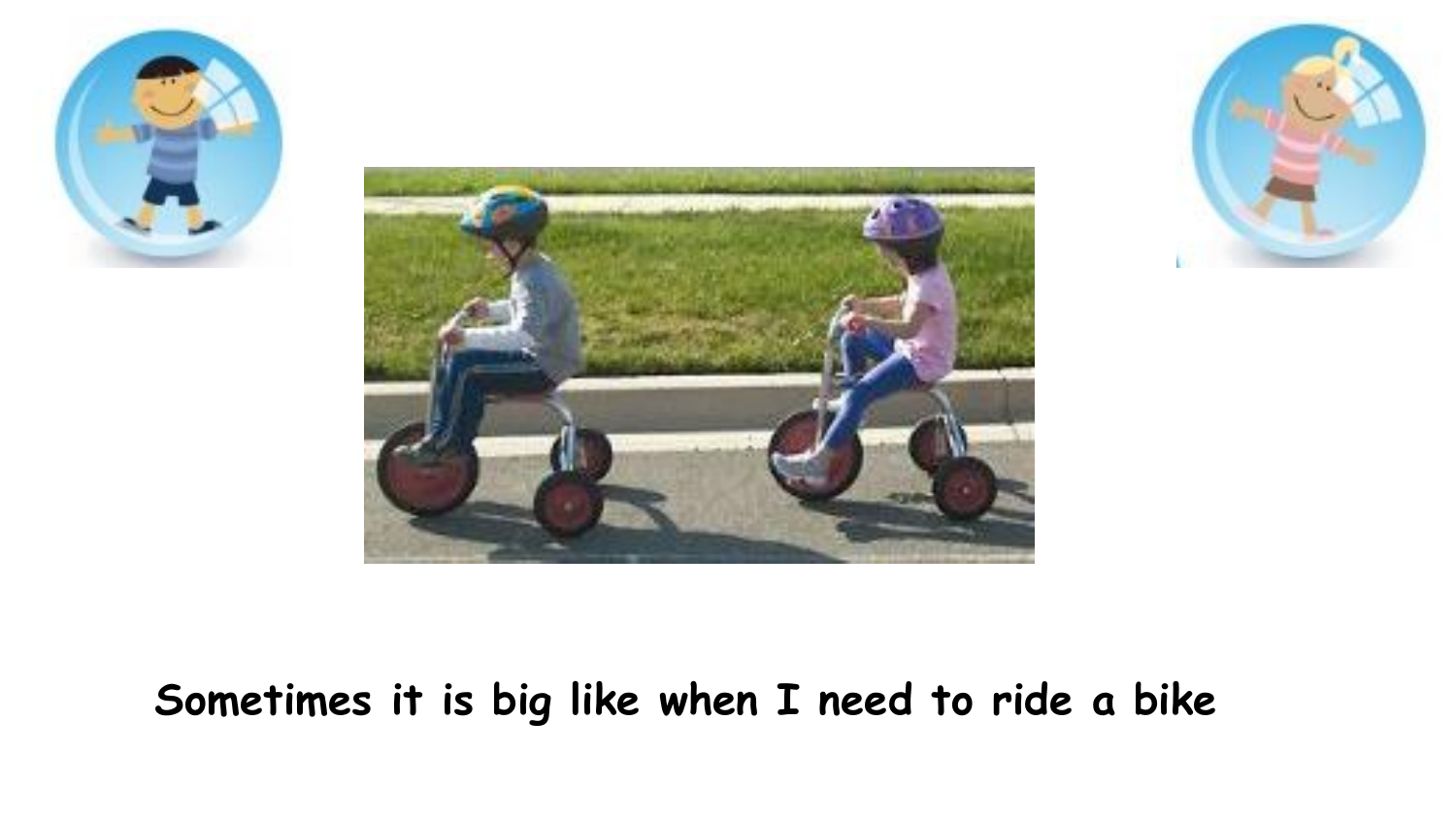![](_page_4_Picture_0.jpeg)

![](_page_4_Picture_1.jpeg)

![](_page_4_Picture_2.jpeg)

## **Sometimes it is big like when I need to ride a bike**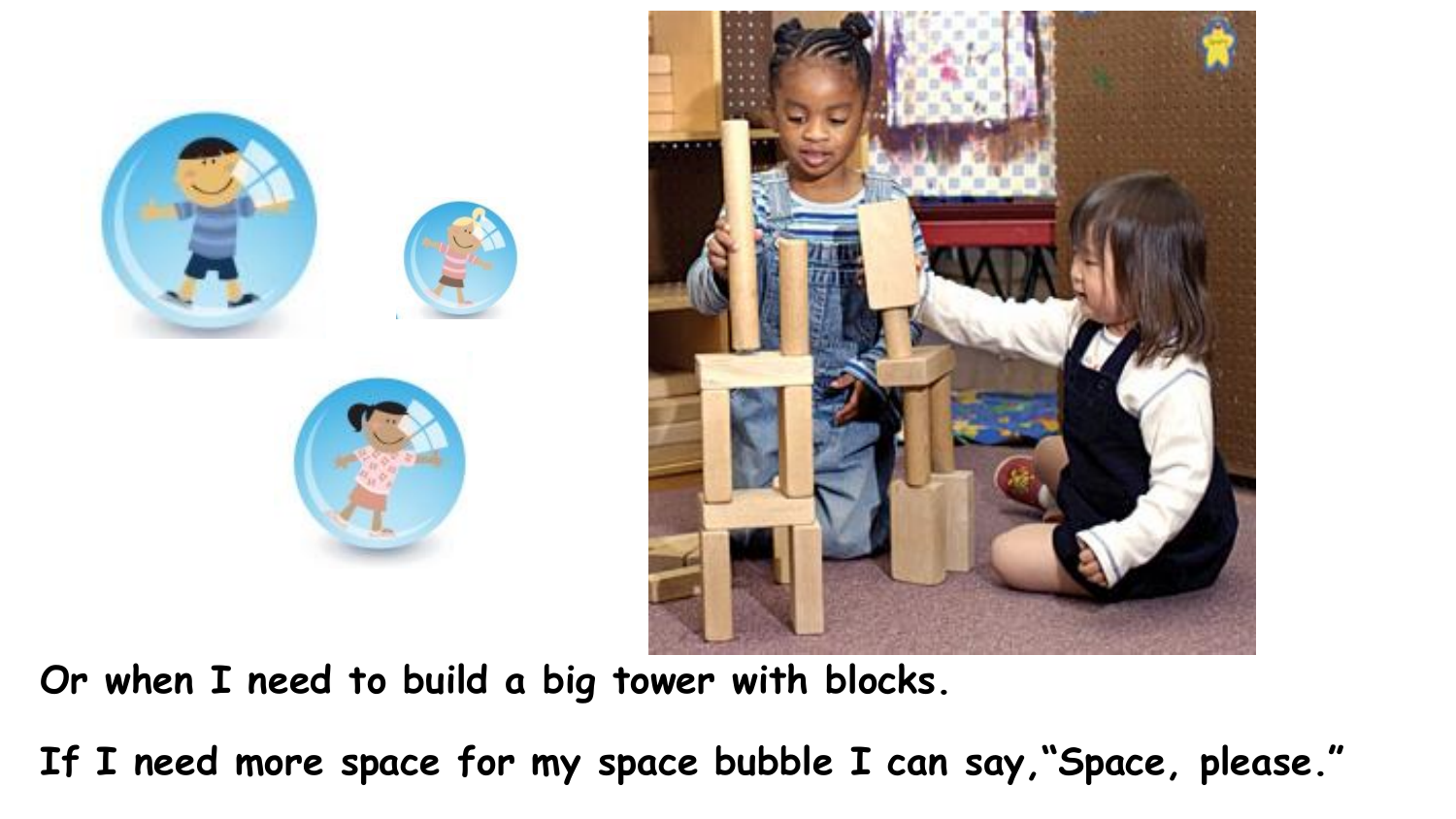![](_page_5_Picture_0.jpeg)

![](_page_5_Picture_1.jpeg)

**Or when I need to build a big tower with blocks.** 

**If I need more space for my space bubble I can say,"Space, please."**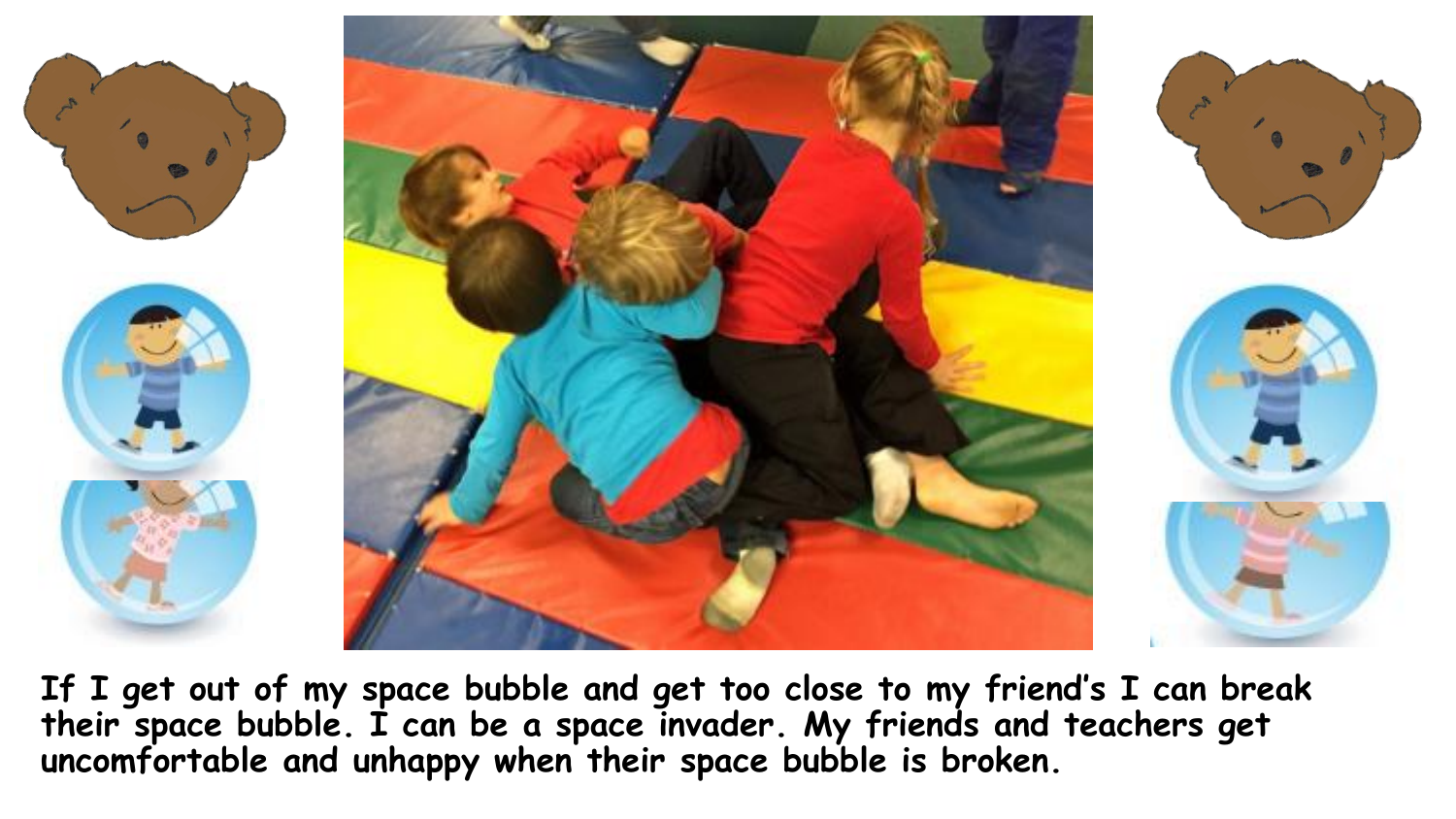![](_page_6_Picture_0.jpeg)

**If I get out of my space bubble and get too close to my friend's I can break their space bubble. I can be a space invader. My friends and teachers get uncomfortable and unhappy when their space bubble is broken.**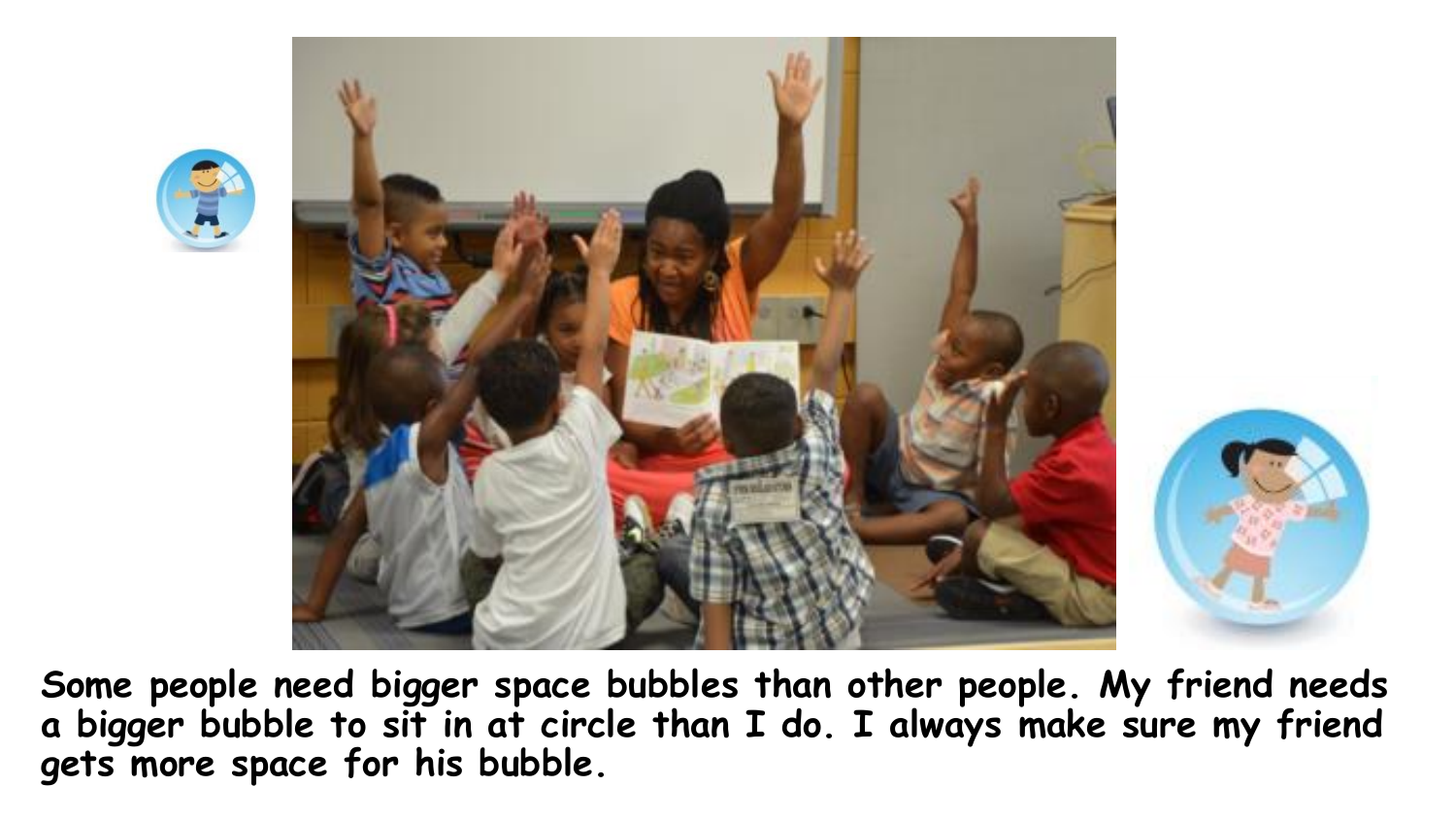![](_page_7_Picture_0.jpeg)

![](_page_7_Picture_1.jpeg)

**Some people need bigger space bubbles than other people. My friend needs a bigger bubble to sit in at circle than I do. I always make sure my friend gets more space for his bubble.**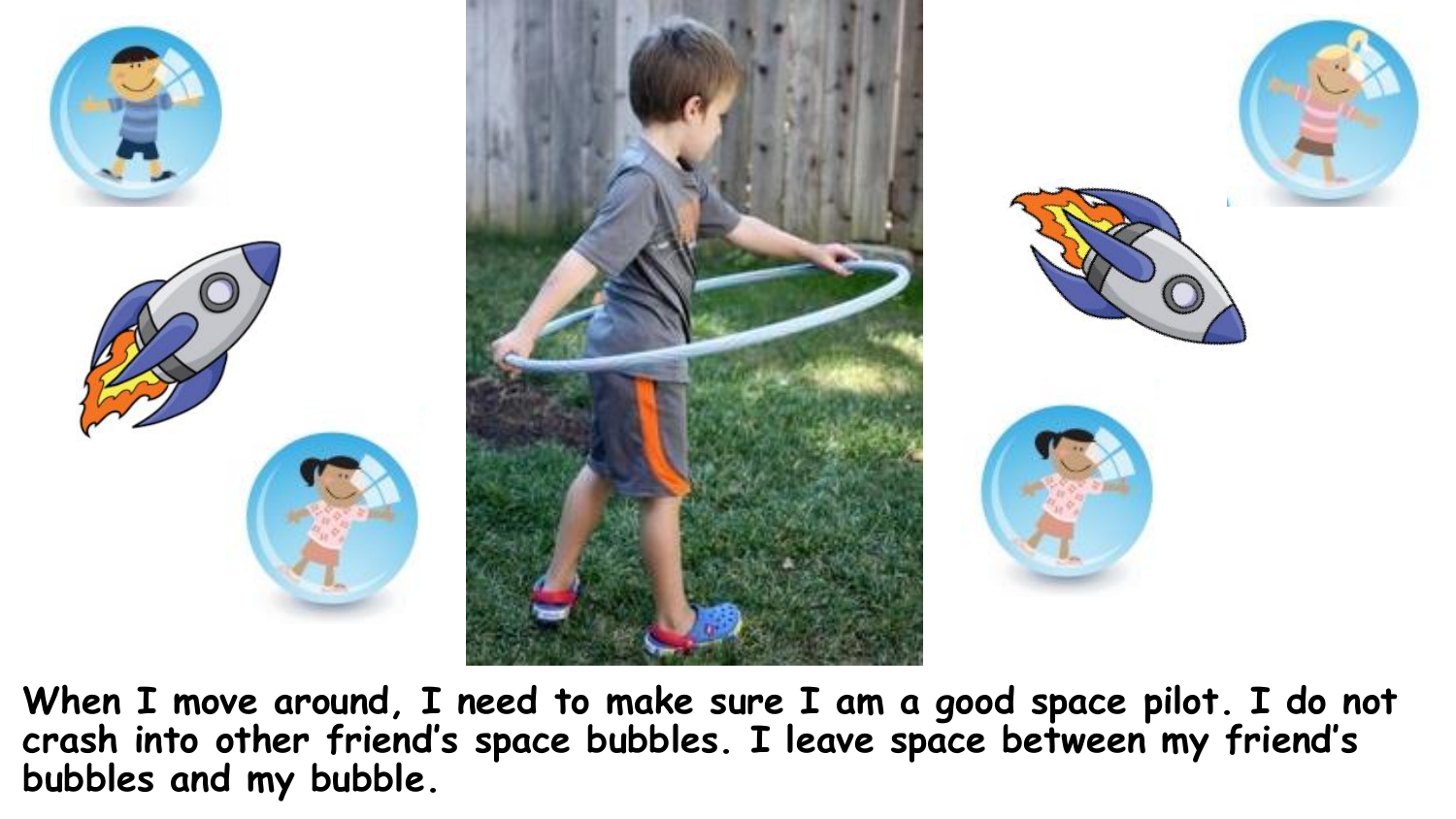![](_page_8_Picture_0.jpeg)

![](_page_8_Picture_1.jpeg)

**When I move around, I need to make sure I am a good space pilot. I do not crash into other friend's space bubbles. I leave space between my friend's bubbles and my bubble.**